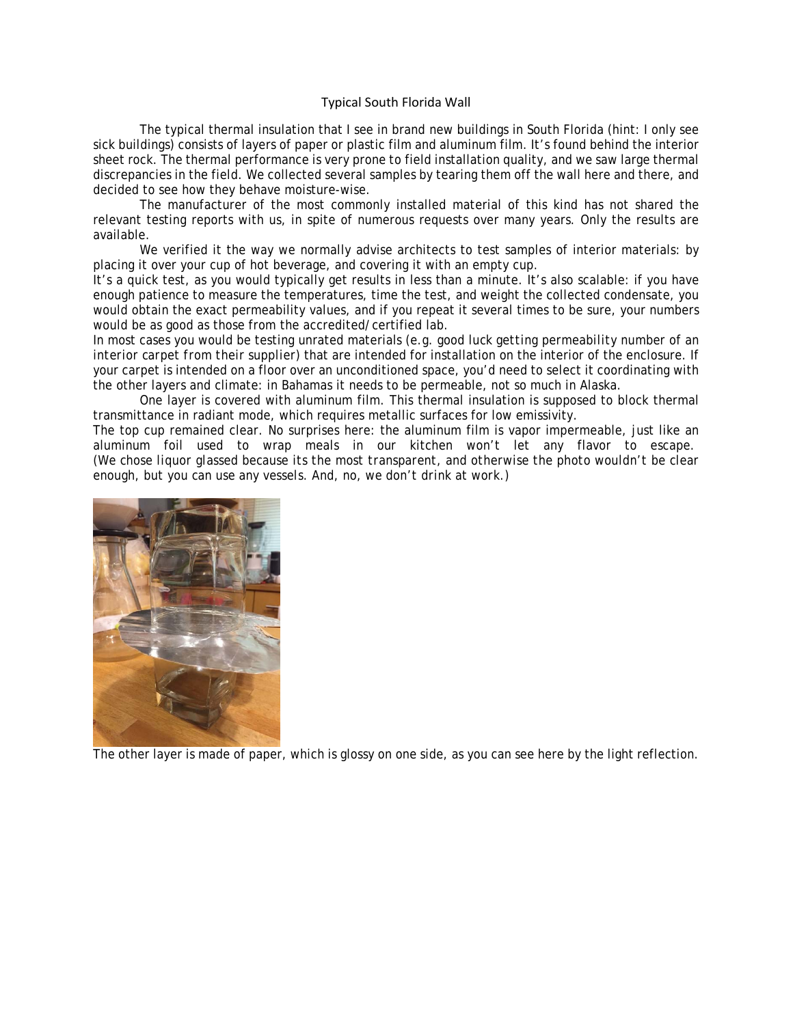## Typical South Florida Wall

The typical thermal insulation that I see in brand new buildings in South Florida (hint: I only see sick buildings) consists of layers of paper or plastic film and aluminum film. It's found behind the interior sheet rock. The thermal performance is very prone to field installation quality, and we saw large thermal discrepancies in the field. We collected several samples by tearing them off the wall here and there, and decided to see how they behave moisture-wise.

The manufacturer of the most commonly installed material of this kind has not shared the relevant testing reports with us, in spite of numerous requests over many years. Only the results are available.

We verified it the way we normally advise architects to test samples of interior materials: by placing it over your cup of hot beverage, and covering it with an empty cup.

It's a quick test, as you would typically get results in less than a minute. It's also scalable: if you have enough patience to measure the temperatures, time the test, and weight the collected condensate, you would obtain the exact permeability values, and if you repeat it several times to be sure, your numbers would be as good as those from the accredited/certified lab.

In most cases you would be testing unrated materials (*e.g. good luck getting permeability number of an interior carpet from their supplier*) that are intended for installation on the interior of the enclosure. If your carpet is intended on a floor over an unconditioned space, you'd need to select it coordinating with the other layers and climate: in Bahamas it needs to be permeable, not so much in Alaska.

One layer is covered with aluminum film. This thermal insulation is supposed to block thermal transmittance in radiant mode, which requires metallic surfaces for low emissivity.

The top cup remained clear. No surprises here: the aluminum film is vapor impermeable, just like an aluminum foil used to wrap meals in our kitchen won't let any flavor to escape. *(We chose liquor glassed because its the most transparent, and otherwise the photo wouldn't be clear enough, but you can use any vessels. And, no, we don't drink at work.)* 



The other layer is made of paper, which is glossy on one side, as you can see here by the light reflection.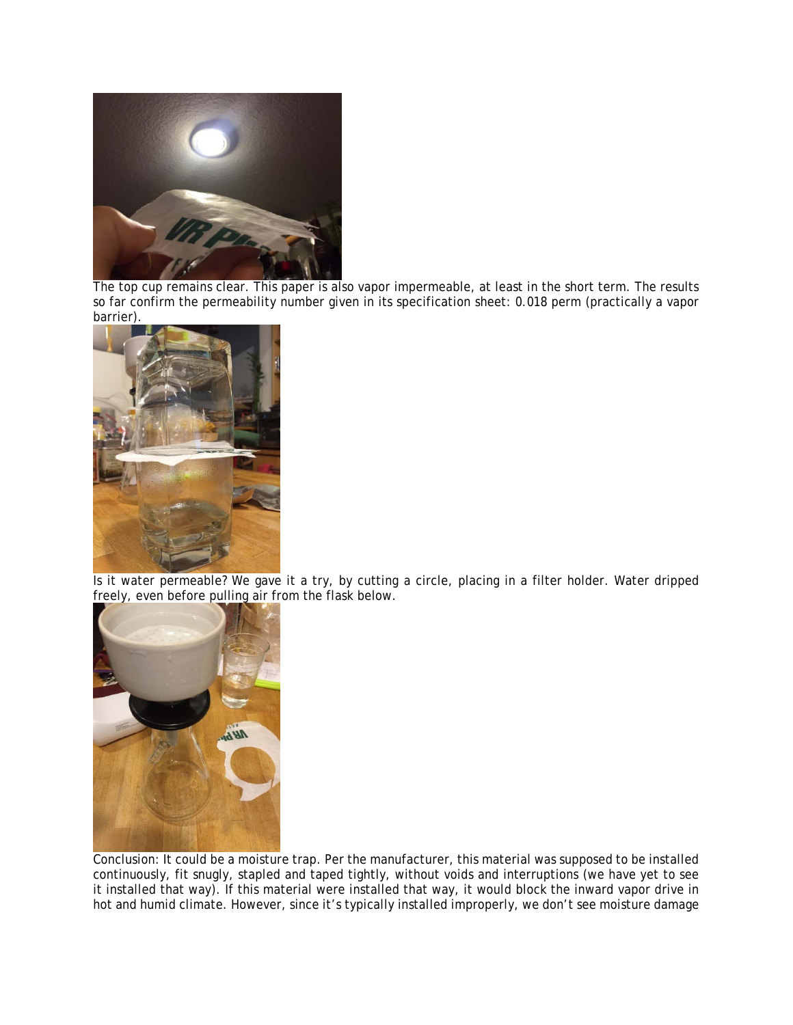

The top cup remains clear. This paper is also vapor impermeable, at least in the short term. The results so far confirm the permeability number given in its specification sheet: 0.018 perm (practically a vapor barrier).



Is it water permeable? We gave it a try, by cutting a circle, placing in a filter holder. Water dripped freely, even before pulling air from the flask below.



Conclusion: It could be a moisture trap. Per the manufacturer, this material was supposed to be installed continuously, fit snugly, stapled and taped tightly, without voids and interruptions (we have yet to see it installed that way). If this material were installed that way, it would block the inward vapor drive in hot and humid climate. However, since it's typically installed improperly, we don't see moisture damage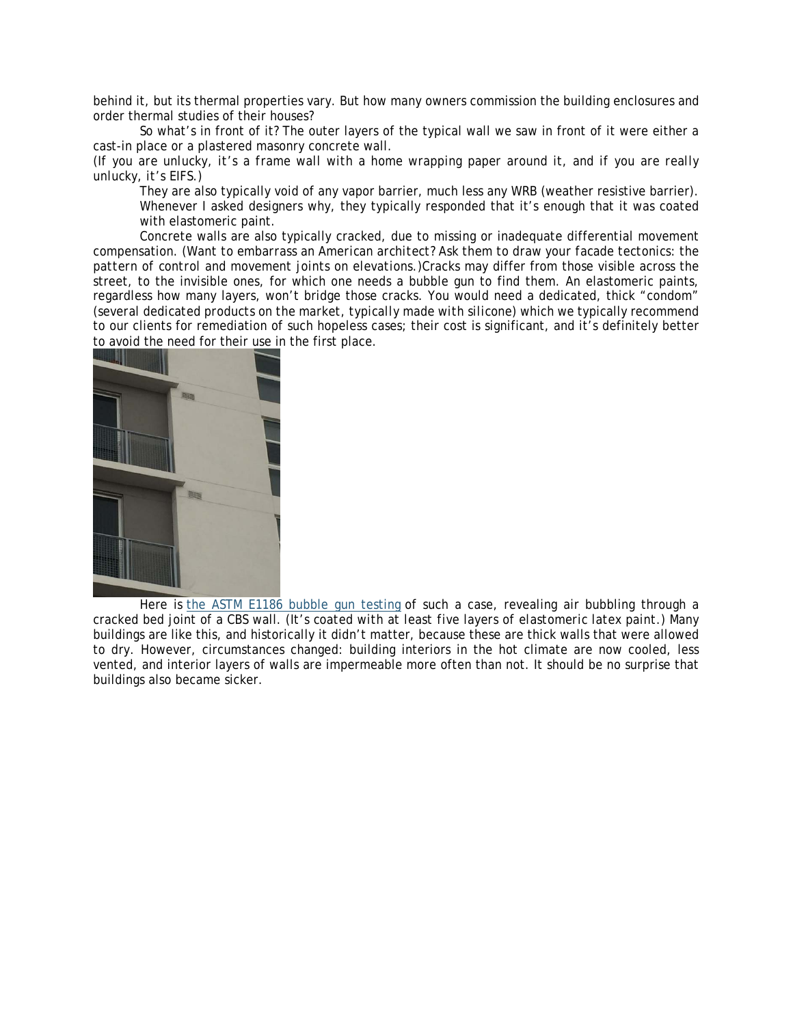behind it, but its thermal properties vary. But how many owners commission the building enclosures and order thermal studies of their houses?

So what's in front of it? The outer layers of the typical wall we saw in front of it were either a cast-in place or a plastered masonry concrete wall.

*(If you are unlucky, it's a frame wall with a home wrapping paper around it, and if you are really unlucky, it's EIFS.)* 

They are also typically void of any vapor barrier, much less any WRB (weather resistive barrier). Whenever I asked designers why, they typically responded that it's enough that it was coated with elastomeric paint.

Concrete walls are also typically cracked, due to missing or inadequate differential movement compensation. (*Want to embarrass an American architect? Ask them to draw your facade tectonics: the pattern of control and movement joints on elevations.)*Cracks may differ from those visible across the street, to the invisible ones, for which one needs a bubble gun to find them. An elastomeric paints, regardless how many layers, won't bridge those cracks. You would need a dedicated, thick "condom" (*several dedicated products on the market, typically made with silicone*) which we typically recommend to our clients for remediation of such hopeless cases; their cost is significant, and it's definitely better to avoid the need for their use in the first place.



Here is the ASTM E1186 bubble gun testing of such a case, revealing air bubbling through a cracked bed joint of a CBS wall. (*It's coated with at least five layers of elastomeric latex paint.)* Many buildings are like this, and historically it didn't matter, because these are thick walls that were allowed to dry. However, circumstances changed: building interiors in the hot climate are now cooled, less vented, and interior layers of walls are impermeable more often than not. It should be no surprise that buildings also became sicker.